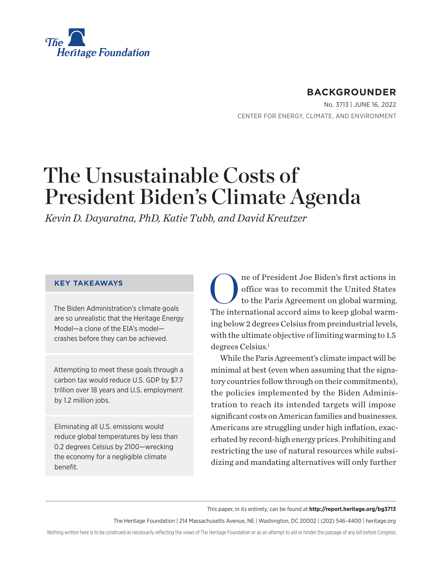<span id="page-0-0"></span>

# **BACKGROUNDER**

No. 3713 | June 16, 2022 CENTER FOR ENERGY, CLIMATE, AND ENVIRONMENT

# The Unsustainable Costs of President Biden's Climate Agenda

*Kevin D. Dayaratna, PhD, Katie Tubb, and David Kreutzer*

#### **KEY TAKEAWAYS**

The Biden Administration's climate goals are so unrealistic that the Heritage Energy Model—a clone of the EIA's model crashes before they can be achieved.

Attempting to meet these goals through a carbon tax would reduce U.S. GDP by \$7.7 trillion over 18 years and U.S. employment by 1.2 million jobs.

Eliminating all U.S. emissions would reduce global temperatures by less than 0.2 degrees Celsius by 2100—wrecking the economy for a negligible climate benefit.

One of President Joe Biden's first actions in<br>office was to recommit the United States<br>to the Paris Agreement on global warming. office was to recommit the United States to the Paris Agreement on global warming. The international accord aims to keep global warming below 2 degrees Celsius from preindustrial levels, with the ultimate objective of limiting warming to 1.5 degrees Celsius.<sup>[1](#page-18-0)</sup>

While the Paris Agreement's climate impact will be minimal at best (even when assuming that the signatory countries follow through on their commitments), the policies implemented by the Biden Administration to reach its intended targets will impose significant costs on American families and businesses. Americans are struggling under high inflation, exacerbated by record-high energy prices. Prohibiting and restricting the use of natural resources while subsidizing and mandating alternatives will only further

This paper, in its entirety, can be found at **http://report.heritage.org/bg3713**

The Heritage Foundation | 214 Massachusetts Avenue, NE | Washington, DC 20002 | (202) 546-4400 | [heritage.org](https://www.hhs.gov/about/news/2018/09/24/statement-from-the-department-of-health-and-human-services.html)

Nothing written here is to be construed as necessarily reflecting the views of The Heritage Foundation or as an attempt to aid or hinder the passage of any bill before Congress.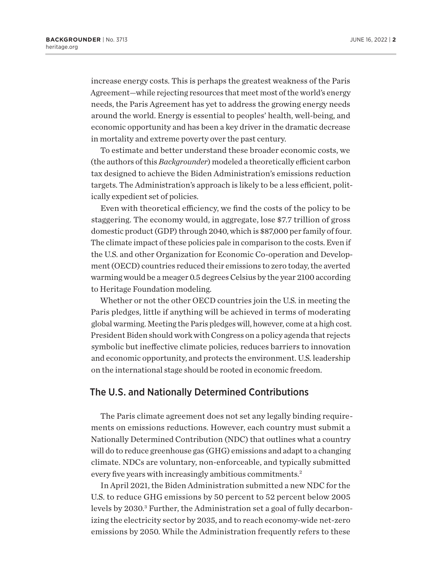<span id="page-1-0"></span>increase energy costs. This is perhaps the greatest weakness of the Paris Agreement—while rejecting resources that meet most of the world's energy needs, the Paris Agreement has yet to address the growing energy needs around the world. Energy is essential to peoples' health, well-being, and economic opportunity and has been a key driver in the dramatic decrease in mortality and extreme poverty over the past century.

To estimate and better understand these broader economic costs, we (the authors of this *Backgrounder*) modeled a theoretically efficient carbon tax designed to achieve the Biden Administration's emissions reduction targets. The Administration's approach is likely to be a less efficient, politically expedient set of policies.

Even with theoretical efficiency, we find the costs of the policy to be staggering. The economy would, in aggregate, lose \$7.7 trillion of gross domestic product (GDP) through 2040, which is \$87,000 per family of four. The climate impact of these policies pale in comparison to the costs. Even if the U.S. and other Organization for Economic Co-operation and Development (OECD) countries reduced their emissions to zero today, the averted warming would be a meager 0.5 degrees Celsius by the year 2100 according to Heritage Foundation modeling.

Whether or not the other OECD countries join the U.S. in meeting the Paris pledges, little if anything will be achieved in terms of moderating global warming. Meeting the Paris pledges will, however, come at a high cost. President Biden should work with Congress on a policy agenda that rejects symbolic but ineffective climate policies, reduces barriers to innovation and economic opportunity, and protects the environment. U.S. leadership on the international stage should be rooted in economic freedom.

#### The U.S. and Nationally Determined Contributions

The Paris climate agreement does not set any legally binding requirements on emissions reductions. However, each country must submit a Nationally Determined Contribution (NDC) that outlines what a country will do to reduce greenhouse gas (GHG) emissions and adapt to a changing climate. NDCs are voluntary, non-enforceable, and typically submitted every five years with increasingly ambitious commitments.<sup>[2](#page-18-0)</sup>

In April 2021, the Biden Administration submitted a new NDC for the U.S. to reduce GHG emissions by 50 percent to 52 percent below 2005 levels by 2030.<sup>3</sup> Further, the Administration set a goal of fully decarbonizing the electricity sector by 2035, and to reach economy-wide net-zero emissions by 2050. While the Administration frequently refers to these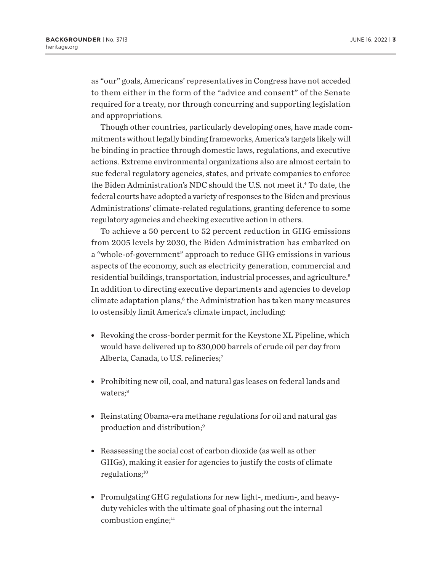<span id="page-2-0"></span>as "our" goals, Americans' representatives in Congress have not acceded to them either in the form of the "advice and consent" of the Senate required for a treaty, nor through concurring and supporting legislation and appropriations.

Though other countries, particularly developing ones, have made commitments without legally binding frameworks, America's targets likely will be binding in practice through domestic laws, regulations, and executive actions. Extreme environmental organizations also are almost certain to sue federal regulatory agencies, states, and private companies to enforce the Biden Administration's NDC should the U.S. not meet it[.4](#page-18-0) To date, the federal courts have adopted a variety of responses to the Biden and previous Administrations' climate-related regulations, granting deference to some regulatory agencies and checking executive action in others.

To achieve a 50 percent to 52 percent reduction in GHG emissions from 2005 levels by 2030, the Biden Administration has embarked on a "whole-of-government" approach to reduce GHG emissions in various aspects of the economy, such as electricity generation, commercial and residential buildings, transportation, industrial processes, and agriculture[.5](#page-18-0) In addition to directing executive departments and agencies to develop climate adaptation plans,<sup>6</sup> the Administration has taken many measures to ostensibly limit America's climate impact, including:

- $\bullet$  Revoking the cross-border permit for the Keystone XL Pipeline, which would have delivered up to 830,000 barrels of crude oil per day from Alberta, Canada, to U.S. refineries;<sup>7</sup>
- Prohibiting new oil, coal, and natural gas leases on federal lands and waters;<sup>8</sup>
- Reinstating Obama-era methane regulations for oil and natural gas production and distribution[;9](#page-18-0)
- $\bullet$  Reassessing the social cost of carbon dioxide (as well as other GHGs), making it easier for agencies to justify the costs of climate regulations;<sup>[10](#page-18-0)</sup>
- Promulgating GHG regulations for new light-, medium-, and heavyduty vehicles with the ultimate goal of phasing out the internal combustion engine;<sup>[11](#page-18-0)</sup>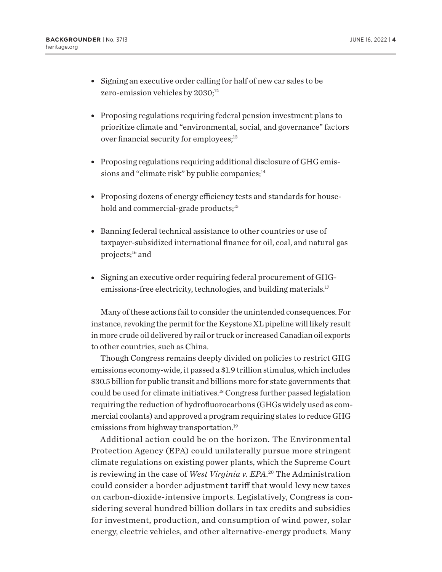- <span id="page-3-0"></span>• Signing an executive order calling for half of new car sales to be zero-emission vehicles by 2030;<sup>[12](#page-18-0)</sup>
- Proposing regulations requiring federal pension investment plans to prioritize climate and "environmental, social, and governance" factors over financial security for employees;<sup>[13](#page-18-0)</sup>
- Proposing regulations requiring additional disclosure of GHG emissions and "climate risk" by public companies; $<sup>14</sup>$  $<sup>14</sup>$  $<sup>14</sup>$ </sup>
- Proposing dozens of energy efficiency tests and standards for household and commercial-grade products;<sup>15</sup>
- Banning federal technical assistance to other countries or use of taxpayer-subsidized international finance for oil, coal, and natural gas projects;<sup>[16](#page-18-0)</sup> and
- Signing an executive order requiring federal procurement of GHGemissions-free electricity, technologies, and building materials[.17](#page-18-0)

Many of these actions fail to consider the unintended consequences. For instance, revoking the permit for the Keystone XL pipeline will likely result in more crude oil delivered by rail or truck or increased Canadian oil exports to other countries, such as China.

Though Congress remains deeply divided on policies to restrict GHG emissions economy-wide, it passed a \$1.9 trillion stimulus, which includes \$30.5 billion for public transit and billions more for state governments that could be used for climate initiatives.[18](#page-18-0) Congress further passed legislation requiring the reduction of hydrofluorocarbons (GHGs widely used as commercial coolants) and approved a program requiring states to reduce GHG emissions from highway transportation.<sup>19</sup>

Additional action could be on the horizon. The Environmental Protection Agency (EPA) could unilaterally pursue more stringent climate regulations on existing power plants, which the Supreme Court is reviewing in the case of *West Virginia v. EPA*. [20](#page-19-0) The Administration could consider a border adjustment tariff that would levy new taxes on carbon-dioxide-intensive imports. Legislatively, Congress is considering several hundred billion dollars in tax credits and subsidies for investment, production, and consumption of wind power, solar energy, electric vehicles, and other alternative-energy products. Many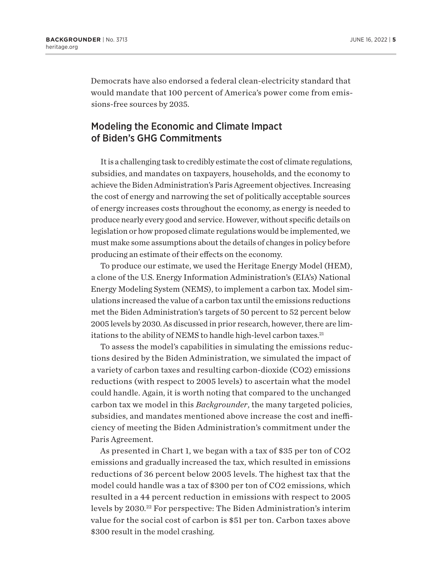<span id="page-4-0"></span>Democrats have also endorsed a federal clean-electricity standard that would mandate that 100 percent of America's power come from emissions-free sources by 2035.

### Modeling the Economic and Climate Impact of Biden's GHG Commitments

It is a challenging task to credibly estimate the cost of climate regulations, subsidies, and mandates on taxpayers, households, and the economy to achieve the Biden Administration's Paris Agreement objectives. Increasing the cost of energy and narrowing the set of politically acceptable sources of energy increases costs throughout the economy, as energy is needed to produce nearly every good and service. However, without specific details on legislation or how proposed climate regulations would be implemented, we must make some assumptions about the details of changes in policy before producing an estimate of their effects on the economy.

To produce our estimate, we used the Heritage Energy Model (HEM), a clone of the U.S. Energy Information Administration's (EIA's) National Energy Modeling System (NEMS), to implement a carbon tax. Model simulations increased the value of a carbon tax until the emissions reductions met the Biden Administration's targets of 50 percent to 52 percent below 2005 levels by 2030. As discussed in prior research, however, there are limitations to the ability of NEMS to handle high-level carbon taxes.<sup>21</sup>

To assess the model's capabilities in simulating the emissions reductions desired by the Biden Administration, we simulated the impact of a variety of carbon taxes and resulting carbon-dioxide (CO2) emissions reductions (with respect to 2005 levels) to ascertain what the model could handle. Again, it is worth noting that compared to the unchanged carbon tax we model in this *Backgrounder*, the many targeted policies, subsidies, and mandates mentioned above increase the cost and inefficiency of meeting the Biden Administration's commitment under the Paris Agreement.

As presented in Chart 1, we began with a tax of \$35 per ton of CO2 emissions and gradually increased the tax, which resulted in emissions reductions of 36 percent below 2005 levels. The highest tax that the model could handle was a tax of \$300 per ton of CO2 emissions, which resulted in a 44 percent reduction in emissions with respect to 2005 levels by 2030.<sup>[22](#page-19-0)</sup> For perspective: The Biden Administration's interim value for the social cost of carbon is \$51 per ton. Carbon taxes above \$300 result in the model crashing.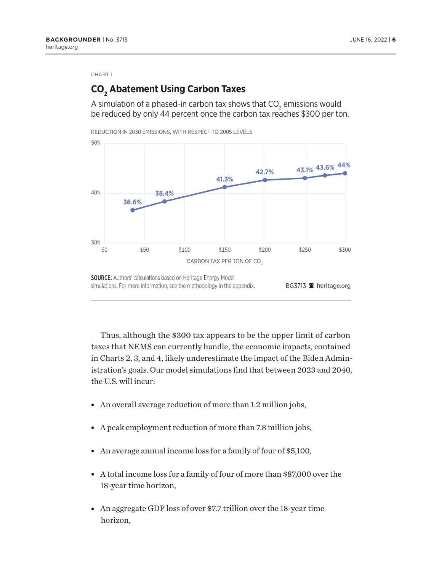# **CO2 Abatement Using Carbon Taxes**

A simulation of a phased-in carbon tax shows that CO $_{\textrm{\tiny{2}}}$  emissions would be reduced by only 44 percent once the carbon tax reaches \$300 per ton.



Thus, although the \$300 tax appears to be the upper limit of carbon taxes that NEMS can currently handle, the economic impacts, contained in Charts 2, 3, and 4, likely underestimate the impact of the Biden Administration's goals. Our model simulations find that between 2023 and 2040, the U.S. will incur:

- An overall average reduction of more than 1.2 million jobs,
- A peak employment reduction of more than 7.8 million jobs,
- An average annual income loss for a family of four of  $$5,100$ ,
- A total income loss for a family of four of more than \$87,000 over the 18-year time horizon,
- An aggregate GDP loss of over \$7.7 trillion over the 18-year time horizon,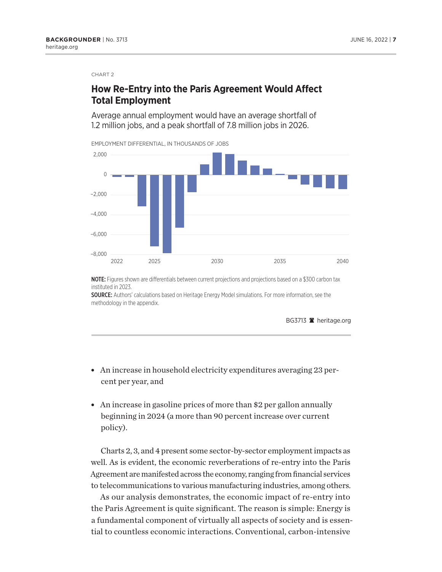## **How Re-Entry into the Paris Agreement Would Affect Total Employment**

Average annual employment would have an average shortfall of 1.2 million jobs, and a peak shortfall of 7.8 million jobs in 2026.

EMPLOYMENT DIFFERENTIAL, IN THOUSANDS OF JOBS



NOTE: Figures shown are differentials between current projections and projections based on a \$300 carbon tax instituted in 2023.

SOURCE: Authors' calculations based on Heritage Energy Model simulations. For more information, see the methodology in the appendix.

BG3713 **A** heritage.org

- An increase in household electricity expenditures averaging 23 percent per year, and
- $\bullet$  An increase in gasoline prices of more than \$2 per gallon annually beginning in 2024 (a more than 90 percent increase over current policy).

Charts 2, 3, and 4 present some sector-by-sector employment impacts as well. As is evident, the economic reverberations of re-entry into the Paris Agreement are manifested across the economy, ranging from financial services to telecommunications to various manufacturing industries, among others.

As our analysis demonstrates, the economic impact of re-entry into the Paris Agreement is quite significant. The reason is simple: Energy is a fundamental component of virtually all aspects of society and is essential to countless economic interactions. Conventional, carbon-intensive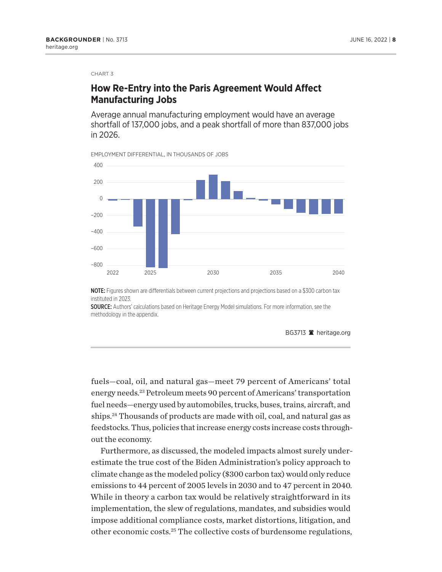## <span id="page-7-0"></span>**How Re-Entry into the Paris Agreement Would Affect Manufacturing Jobs**

Average annual manufacturing employment would have an average shortfall of 137,000 jobs, and a peak shortfall of more than 837,000 jobs in 2026.

EMPLOYMENT DIFFERENTIAL, IN THOUSANDS OF JOBS



NOTE: Figures shown are differentials between current projections and projections based on a \$300 carbon tax instituted in 2023.

SOURCE: Authors' calculations based on Heritage Energy Model simulations. For more information, see the methodology in the appendix.

BG3713 **a** heritage.org

fuels—coal, oil, and natural gas—meet 79 percent of Americans' total energy needs[.23](#page-19-0) Petroleum meets 90 percent of Americans' transportation fuel needs—energy used by automobiles, trucks, buses, trains, aircraft, and ships.<sup>24</sup> Thousands of products are made with oil, coal, and natural gas as feedstocks. Thus, policies that increase energy costs increase costs throughout the economy.

Furthermore, as discussed, the modeled impacts almost surely underestimate the true cost of the Biden Administration's policy approach to climate change as the modeled policy (\$300 carbon tax) would only reduce emissions to 44 percent of 2005 levels in 2030 and to 47 percent in 2040. While in theory a carbon tax would be relatively straightforward in its implementation, the slew of regulations, mandates, and subsidies would impose additional compliance costs, market distortions, litigation, and other economic costs.[25](#page-19-0) The collective costs of burdensome regulations,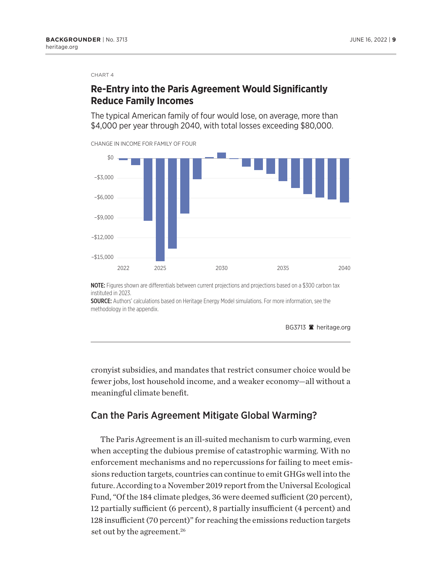## <span id="page-8-0"></span>**Re-Entry into the Paris Agreement Would Significantly Reduce Family Incomes**

The typical American family of four would lose, on average, more than \$4,000 per year through 2040, with total losses exceeding \$80,000.



NOTE: Figures shown are differentials between current projections and projections based on a \$300 carbon tax instituted in 2023.

SOURCE: Authors' calculations based on Heritage Energy Model simulations. For more information, see the methodology in the appendix.

BG3713 **a** heritage.org

cronyist subsidies, and mandates that restrict consumer choice would be fewer jobs, lost household income, and a weaker economy—all without a meaningful climate benefit.

#### Can the Paris Agreement Mitigate Global Warming?

The Paris Agreement is an ill-suited mechanism to curb warming, even when accepting the dubious premise of catastrophic warming. With no enforcement mechanisms and no repercussions for failing to meet emissions reduction targets, countries can continue to emit GHGs well into the future. According to a November 2019 report from the Universal Ecological Fund, "Of the 184 climate pledges, 36 were deemed sufficient (20 percent), 12 partially sufficient (6 percent), 8 partially insufficient (4 percent) and 128 insufficient (70 percent)" for reaching the emissions reduction targets set out by the agreement.<sup>[26](#page-19-0)</sup>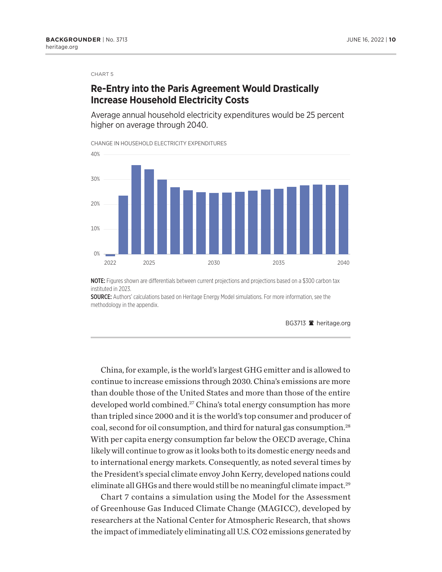#### <span id="page-9-0"></span>**Re-Entry into the Paris Agreement Would Drastically Increase Household Electricity Costs**

Average annual household electricity expenditures would be 25 percent higher on average through 2040.

CHANGE IN HOUSEHOLD ELECTRICITY EXPENDITURES



NOTE: Figures shown are differentials between current projections and projections based on a \$300 carbon tax instituted in 2023.

SOURCE: Authors' calculations based on Heritage Energy Model simulations. For more information, see the methodology in the appendix.

BG3713 **a** heritage.org

China, for example, is the world's largest GHG emitter and is allowed to continue to increase emissions through 2030. China's emissions are more than double those of the United States and more than those of the entire developed world combined.<sup>27</sup> China's total energy consumption has more than tripled since 2000 and it is the world's top consumer and producer of coal, second for oil consumption, and third for natural gas consumption[.28](#page-19-0) With per capita energy consumption far below the OECD average, China likely will continue to grow as it looks both to its domestic energy needs and to international energy markets. Consequently, as noted several times by the President's special climate envoy John Kerry, developed nations could eliminate all GHGs and there would still be no meaningful climate impact.<sup>[29](#page-19-0)</sup>

Chart 7 contains a simulation using the Model for the Assessment of Greenhouse Gas Induced Climate Change (MAGICC), developed by researchers at the National Center for Atmospheric Research, that shows the impact of immediately eliminating all U.S. CO2 emissions generated by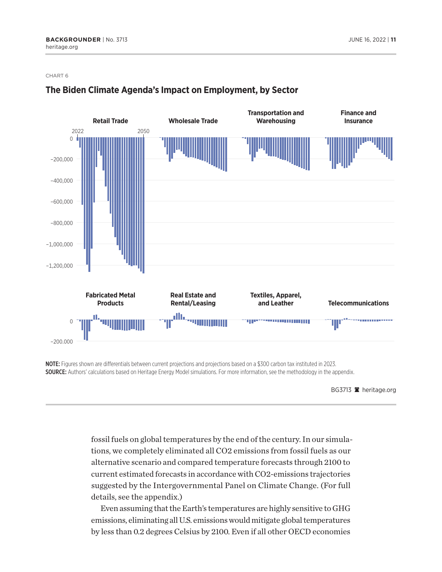

#### **The Biden Climate Agenda's Impact on Employment, by Sector**

NOTE: Figures shown are differentials between current projections and projections based on a \$300 carbon tax instituted in 2023. SOURCE: Authors' calculations based on Heritage Energy Model simulations. For more information, see the methodology in the appendix.

BG3713 <sup>a</sup> heritage.org

fossil fuels on global temperatures by the end of the century. In our simulations, we completely eliminated all CO2 emissions from fossil fuels as our alternative scenario and compared temperature forecasts through 2100 to current estimated forecasts in accordance with CO2-emissions trajectories suggested by the Intergovernmental Panel on Climate Change. (For full details, see the appendix.)

Even assuming that the Earth's temperatures are highly sensitive to GHG emissions, eliminating all U.S. emissions would mitigate global temperatures by less than 0.2 degrees Celsius by 2100. Even if all other OECD economies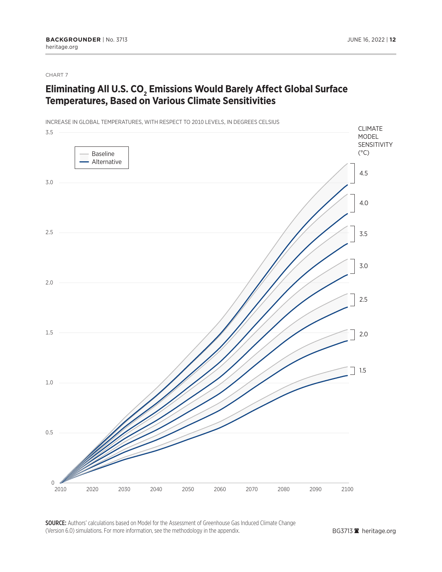## **Eliminating All U.S. CO<sub>2</sub> Emissions Would Barely Affect Global Surface Temperatures, Based on Various Climate Sensitivities**

INCREASE IN GLOBAL TEMPERATURES, WITH RESPECT TO 2010 LEVELS, IN DEGREES CELSIUS



SOURCE: Authors' calculations based on Model for the Assessment of Greenhouse Gas Induced Climate Change (Version 6.0) simulations. For more information, see the methodology in the appendix.

BG3713<sup>2</sup> heritage.org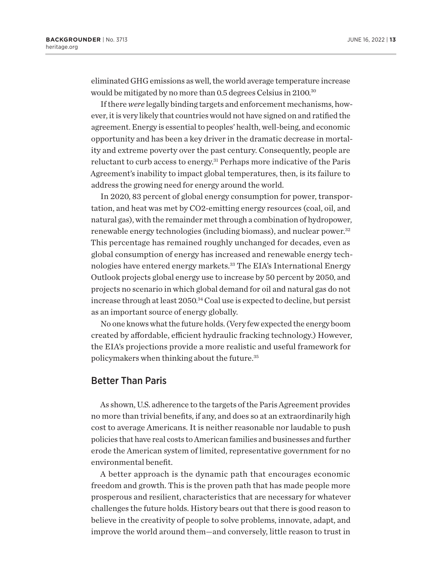<span id="page-12-0"></span>eliminated GHG emissions as well, the world average temperature increase would be mitigated by no more than 0.5 degrees Celsius in 2100.<sup>[30](#page-19-0)</sup>

If there *were* legally binding targets and enforcement mechanisms, however, it is very likely that countries would not have signed on and ratified the agreement. Energy is essential to peoples' health, well-being, and economic opportunity and has been a key driver in the dramatic decrease in mortality and extreme poverty over the past century. Consequently, people are reluctant to curb access to energy.<sup>31</sup> Perhaps more indicative of the Paris Agreement's inability to impact global temperatures, then, is its failure to address the growing need for energy around the world.

In 2020, 83 percent of global energy consumption for power, transportation, and heat was met by CO2-emitting energy resources (coal, oil, and natural gas), with the remainder met through a combination of hydropower, renewable energy technologies (including biomass), and nuclear power[.32](#page-19-0) This percentage has remained roughly unchanged for decades, even as global consumption of energy has increased and renewable energy technologies have entered energy markets.<sup>33</sup> The EIA's International Energy Outlook projects global energy use to increase by 50 percent by 2050, and projects no scenario in which global demand for oil and natural gas do not increase through at least 2050[.34](#page-19-0) Coal use is expected to decline, but persist as an important source of energy globally.

No one knows what the future holds. (Very few expected the energy boom created by affordable, efficient hydraulic fracking technology.) However, the EIA's projections provide a more realistic and useful framework for policymakers when thinking about the future[.35](#page-19-0)

#### Better Than Paris

As shown, U.S. adherence to the targets of the Paris Agreement provides no more than trivial benefits, if any, and does so at an extraordinarily high cost to average Americans. It is neither reasonable nor laudable to push policies that have real costs to American families and businesses and further erode the American system of limited, representative government for no environmental benefit.

A better approach is the dynamic path that encourages economic freedom and growth. This is the proven path that has made people more prosperous and resilient, characteristics that are necessary for whatever challenges the future holds. History bears out that there is good reason to believe in the creativity of people to solve problems, innovate, adapt, and improve the world around them—and conversely, little reason to trust in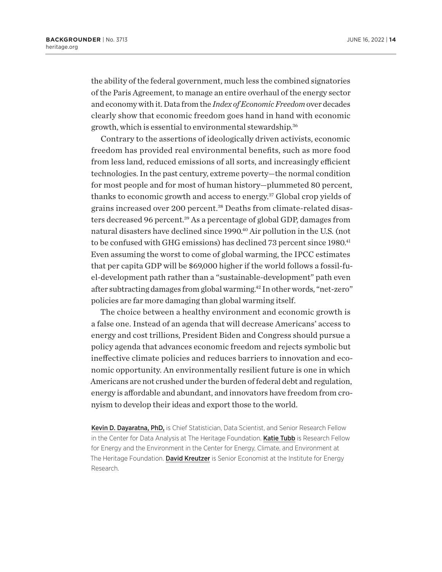<span id="page-13-0"></span>the ability of the federal government, much less the combined signatories of the Paris Agreement, to manage an entire overhaul of the energy sector and economy with it. Data from the *Index of Economic Freedom* over decades clearly show that economic freedom goes hand in hand with economic growth, which is essential to environmental stewardship[.36](#page-19-0)

Contrary to the assertions of ideologically driven activists, economic freedom has provided real environmental benefits, such as more food from less land, reduced emissions of all sorts, and increasingly efficient technologies. In the past century, extreme poverty—the normal condition for most people and for most of human history—plummeted 80 percent, thanks to economic growth and access to energy.[37](#page-19-0) Global crop yields of grains increased over 200 percent.[38](#page-20-0) Deaths from climate-related disasters decreased 96 percent[.39](#page-20-0) As a percentage of global GDP, damages from natural disasters have declined since 1990[.40](#page-20-0) Air pollution in the U.S. (not to be confused with GHG emissions) has declined 73 percent since 1980.<sup>41</sup> Even assuming the worst to come of global warming, the IPCC estimates that per capita GDP will be \$69,000 higher if the world follows a fossil-fuel-development path rather than a "sustainable-development" path even after subtracting damages from global warming[.42](#page-20-0) In other words, "net-zero" policies are far more damaging than global warming itself.

The choice between a healthy environment and economic growth is a false one. Instead of an agenda that will decrease Americans' access to energy and cost trillions, President Biden and Congress should pursue a policy agenda that advances economic freedom and rejects symbolic but ineffective climate policies and reduces barriers to innovation and economic opportunity. An environmentally resilient future is one in which Americans are not crushed under the burden of federal debt and regulation, energy is affordable and abundant, and innovators have freedom from cronyism to develop their ideas and export those to the world.

Kevin D. Dayaratna, PhD, is Chief Statistician, Data Scientist, and Senior Research Fellow in the Center for Data Analysis at The Heritage Foundation. Katie Tubb is Research Fellow for Energy and the Environment in the Center for Energy, Climate, and Environment at The Heritage Foundation. David Kreutzer is Senior Economist at the Institute for Energy Research.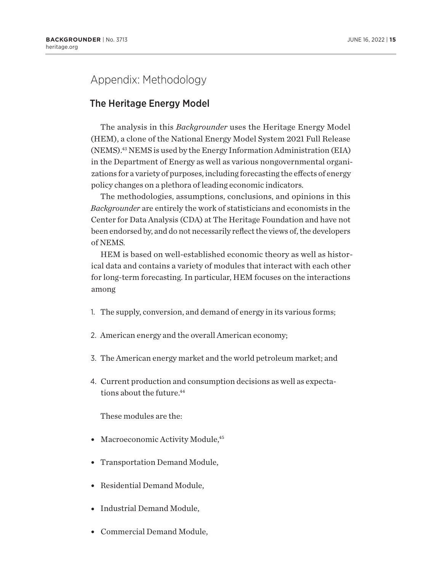# <span id="page-14-0"></span>Appendix: Methodology

#### The Heritage Energy Model

The analysis in this *Backgrounder* uses the Heritage Energy Model (HEM), a clone of the National Energy Model System 2021 Full Release (NEMS)[.43](#page-20-0) NEMS is used by the Energy Information Administration (EIA) in the Department of Energy as well as various nongovernmental organizations for a variety of purposes, including forecasting the effects of energy policy changes on a plethora of leading economic indicators.

The methodologies, assumptions, conclusions, and opinions in this *Backgrounder* are entirely the work of statisticians and economists in the Center for Data Analysis (CDA) at The Heritage Foundation and have not been endorsed by, and do not necessarily reflect the views of, the developers of NEMS.

HEM is based on well-established economic theory as well as historical data and contains a variety of modules that interact with each other for long-term forecasting. In particular, HEM focuses on the interactions among

- 1. The supply, conversion, and demand of energy in its various forms;
- 2. American energy and the overall American economy;
- 3. The American energy market and the world petroleum market; and
- 4. Current production and consumption decisions as well as expectations about the future.<sup>44</sup>

These modules are the:

- Macroeconomic Activity Module,<sup>45</sup>
- Transportation Demand Module,
- Residential Demand Module,
- Industrial Demand Module,
- Commercial Demand Module,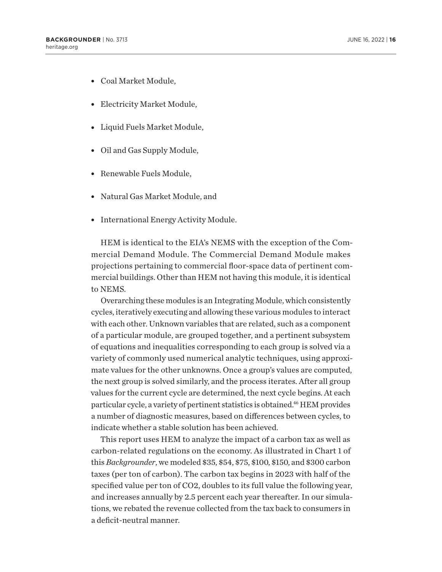- <span id="page-15-0"></span>• Coal Market Module,
- Electricity Market Module,
- Liquid Fuels Market Module,
- Oil and Gas Supply Module,
- Renewable Fuels Module,
- Natural Gas Market Module, and
- International Energy Activity Module.

HEM is identical to the EIA's NEMS with the exception of the Commercial Demand Module. The Commercial Demand Module makes projections pertaining to commercial floor-space data of pertinent commercial buildings. Other than HEM not having this module, it is identical to NEMS.

Overarching these modules is an Integrating Module, which consistently cycles, iteratively executing and allowing these various modules to interact with each other. Unknown variables that are related, such as a component of a particular module, are grouped together, and a pertinent subsystem of equations and inequalities corresponding to each group is solved via a variety of commonly used numerical analytic techniques, using approximate values for the other unknowns. Once a group's values are computed, the next group is solved similarly, and the process iterates. After all group values for the current cycle are determined, the next cycle begins. At each particular cycle, a variety of pertinent statistics is obtained.<sup>46</sup> HEM provides a number of diagnostic measures, based on differences between cycles, to indicate whether a stable solution has been achieved.

This report uses HEM to analyze the impact of a carbon tax as well as carbon-related regulations on the economy. As illustrated in Chart 1 of this *Backgrounder*, we modeled \$35, \$54, \$75, \$100, \$150, and \$300 carbon taxes (per ton of carbon). The carbon tax begins in 2023 with half of the specified value per ton of CO2, doubles to its full value the following year, and increases annually by 2.5 percent each year thereafter. In our simulations, we rebated the revenue collected from the tax back to consumers in a deficit-neutral manner.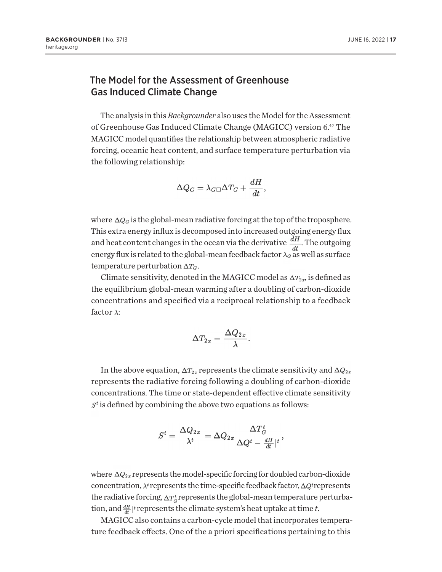#### <span id="page-16-0"></span>The Model for the Assessment of Greenhouse Gas Induced Climate Change

The analysis in this *Backgrounder* also uses the Model for the Assessment of Greenhouse Gas Induced Climate Change (MAGICC) version 6[.47](#page-20-0) The MAGICC model quantifies the relationship between atmospheric radiative forcing, oceanic heat content, and surface temperature perturbation via the following relationship:

$$
\Delta Q_G = \lambda_G \Box \Delta T_G + \frac{dH}{dt},
$$

where  $\Delta Q_G$  is the global-mean radiative forcing at the top of the troposphere. This extra energy influx is decomposed into increased outgoing energy flux and heat content changes in the ocean via the derivative  $\frac{dH}{dt}$ . The outgoing energy flux is related to the global-mean feedback factor  $\lambda_G$  as well as surface temperature perturbation  $\Delta T_G$ .

Climate sensitivity, denoted in the MAGICC model as  $\Delta T_{2x}$ , is defined as the equilibrium global-mean warming after a doubling of carbon-dioxide concentrations and specified via a reciprocal relationship to a feedback factor  $\lambda$ :

$$
\Delta T_{2x}=\frac{\Delta Q_{2x}}{\lambda}
$$

In the above equation,  $\Delta T_{2x}$  represents the climate sensitivity and  $\Delta Q_{2x}$ represents the radiative forcing following a doubling of carbon-dioxide concentrations. The time or state-dependent effective climate sensitivity  $S<sup>t</sup>$  is defined by combining the above two equations as follows:

$$
S^t = \frac{\Delta Q_{2x}}{\lambda^t} = \Delta Q_{2x} \frac{\Delta T^t_G}{\Delta Q^t - \frac{dH}{dt} |^t},
$$

where  $\Delta Q_{2x}$  represents the model-specific forcing for doubled carbon-dioxide concentration,  $\lambda^t$  represents the time-specific feedback factor,  $\Delta Q^t$  represents the radiative forcing,  $\Delta T_G^t$  represents the global-mean temperature perturbation, and  $\frac{dH}{dt}$  <sup>t</sup> represents the climate system's heat uptake at time *t*.

MAGICC also contains a carbon-cycle model that incorporates temperature feedback effects. One of the a priori specifications pertaining to this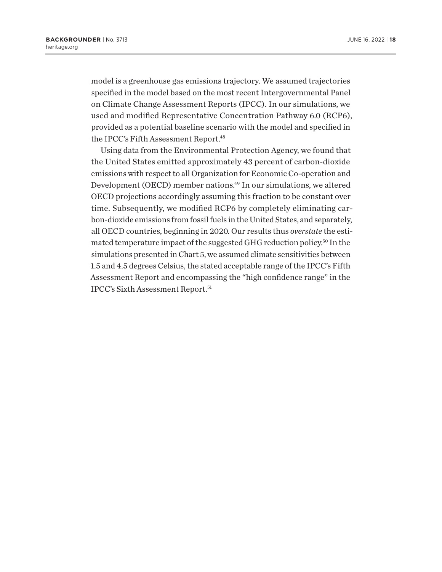<span id="page-17-0"></span>model is a greenhouse gas emissions trajectory. We assumed trajectories specified in the model based on the most recent Intergovernmental Panel on Climate Change Assessment Reports (IPCC). In our simulations, we used and modified Representative Concentration Pathway 6.0 (RCP6), provided as a potential baseline scenario with the model and specified in the IPCC's Fifth Assessment Report.<sup>48</sup>

Using data from the Environmental Protection Agency, we found that the United States emitted approximately 43 percent of carbon-dioxide emissions with respect to all Organization for Economic Co-operation and Development (OECD) member nations[.49](#page-20-0) In our simulations, we altered OECD projections accordingly assuming this fraction to be constant over time. Subsequently, we modified RCP6 by completely eliminating carbon-dioxide emissions from fossil fuels in the United States, and separately, all OECD countries, beginning in 2020. Our results thus *overstate* the estimated temperature impact of the suggested GHG reduction policy[.50](#page-20-0) In the simulations presented in Chart 5, we assumed climate sensitivities between 1.5 and 4.5 degrees Celsius, the stated acceptable range of the IPCC's Fifth Assessment Report and encompassing the "high confidence range" in the IPCC's Sixth Assessment Report[.51](#page-20-0)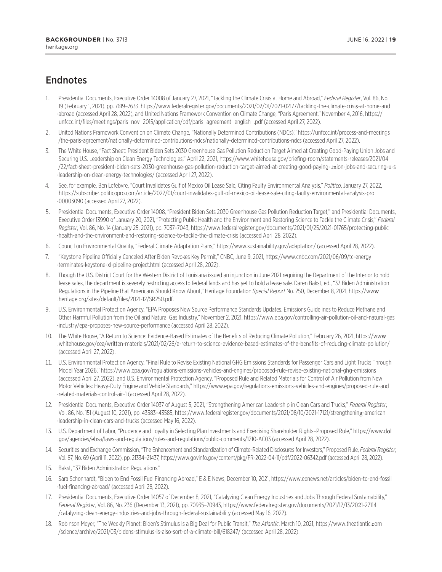## <span id="page-18-0"></span>**Endnotes**

- [1.](#page-0-0) Presidential Documents, Executive Order 14008 of January 27, 2021, "Tackling the Climate Crisis at Home and Abroad," *Federal Register*, Vol. 86, No. 19 (February 1, 2021), pp. 7619–7633, [https://www.federalregister.gov/documents/2021/02/01/2021-02177/tackling-the-climate-crisi](https://www.federalregister.gov/documents/2021/02/01/2021-02177/tackling-the-climate-crisis-at-home-and-abroad)s-at-home-and [-abroad](https://www.federalregister.gov/documents/2021/02/01/2021-02177/tackling-the-climate-crisis-at-home-and-abroad) (accessed April 28, 2022), and United Nations Framework Convention on Climate Change, "Paris Agreement," November 4, 2016, [https://](https://unfccc.int/files/meetings/paris_nov_2015/application/pdf/paris_agreement_english_.pdf) [unfccc.int/files/meetings/paris\\_nov\\_2015/application/pdf/paris\\_agreement\\_english\\_.pdf](https://unfccc.int/files/meetings/paris_nov_2015/application/pdf/paris_agreement_english_.pdf) (accessed April 27, 2022).
- [2](#page-1-0). United Nations Framework Convention on Climate Change, "Nationally Determined Contributions (NDCs)," [https://unfccc.int/process-and-mee](https://unfccc.int/process-and-meetings/the-paris-agreement/nationally-determined-contributions-ndcs/nationally-determined-contributions-ndcs)tings [/the-paris-agreement/nationally-determined-contributions-ndcs/nationally-determined-contributions-ndcs](https://unfccc.int/process-and-meetings/the-paris-agreement/nationally-determined-contributions-ndcs/nationally-determined-contributions-ndcs) (accessed April 27, 2022).
- [3.](#page-1-0) The White House, "Fact Sheet: President Biden Sets 2030 Greenhouse Gas Pollution Reduction Target Aimed at Creating Good-Paying Union Jobs and Securing U.S. Leadership on Clean Energy Technologies," April 22, 2021, [https://www.whitehouse.gov/briefing-room/statements-releases](https://www.whitehouse.gov/briefing-room/statements-releases/2021/04/22/fact-sheet-president-biden-sets-2030-greenhouse-gas-pollution-reduction-target-aimed-at-creating-good-paying-union-jobs-and-securing-u-s-leadership-on-clean-energy-technologies/)/2021/04 [/22/fact-sheet-president-biden-sets-2030-greenhouse-gas-pollution-reduction-target-aimed-at-creating-good-paying-u](https://www.whitehouse.gov/briefing-room/statements-releases/2021/04/22/fact-sheet-president-biden-sets-2030-greenhouse-gas-pollution-reduction-target-aimed-at-creating-good-paying-union-jobs-and-securing-u-s-leadership-on-clean-energy-technologies/)nion-jobs-and-securing-u-s [-leadership-on-clean-energy-technologies/](https://www.whitehouse.gov/briefing-room/statements-releases/2021/04/22/fact-sheet-president-biden-sets-2030-greenhouse-gas-pollution-reduction-target-aimed-at-creating-good-paying-union-jobs-and-securing-u-s-leadership-on-clean-energy-technologies/) (accessed April 27, 2022).
- [4.](#page-2-0) See, for example, Ben Lefebvre, "Court Invalidates Gulf of Mexico Oil Lease Sale, Citing Faulty Environmental Analysis," *Politico*, January 27, 2022, [https://subscriber.politicopro.com/article/2022/01/court-invalidates-gulf-of-mexico-oil-lease-sale-citing-faulty-environme](https://subscriber.politicopro.com/article/2022/01/court-invalidates-gulf-of-mexico-oil-lease-sale-citing-faulty-environmental-analysis-pro-00003090)ntal-analysis-pro [-00003090](https://subscriber.politicopro.com/article/2022/01/court-invalidates-gulf-of-mexico-oil-lease-sale-citing-faulty-environmental-analysis-pro-00003090) (accessed April 27, 2022).
- [5](#page-2-0). Presidential Documents, Executive Order 14008, "President Biden Sets 2030 Greenhouse Gas Pollution Reduction Target," and Presidential Documents, Executive Order 13990 of January 20, 2021, "Protecting Public Health and the Environment and Restoring Science to Tackle the Climate Crisis," *Federal Register*, Vol. 86, No. 14 (January 25, 2021), pp. 7037–7043, [https://www.federalregister.gov/documents/2021/01/25/2021-01765/protect](https://www.federalregister.gov/documents/2021/01/25/2021-01765/protecting-public-health-and-the-environment-and-restoring-science-to-tackle-the-climate-crisis)ing-public [-health-and-the-environment-and-restoring-science-to-tackle-the-climate-crisis](https://www.federalregister.gov/documents/2021/01/25/2021-01765/protecting-public-health-and-the-environment-and-restoring-science-to-tackle-the-climate-crisis) (accessed April 28, 2022).
- [6](#page-2-0). Council on Environmental Quality, "Federal Climate Adaptation Plans,"<https://www.sustainability.gov/adaptation/>(accessed April 28, 2022).
- [7.](#page-2-0) "Keystone Pipeline Officially Canceled After Biden Revokes Key Permit," CNBC, June 9, 2021, [https://www.cnbc.com/2021/06/09/tc-energy](https://www.cnbc.com/2021/06/09/tc-energy-terminates-keystone-xl-pipeline-project.html) [-terminates-keystone-xl-pipeline-project.html](https://www.cnbc.com/2021/06/09/tc-energy-terminates-keystone-xl-pipeline-project.html) (accessed April 28, 2022).
- [8](#page-2-0). Though the U.S. District Court for the Western District of Louisiana issued an injunction in June 2021 requiring the Department of the Interior to hold lease sales, the department is severely restricting access to federal lands and has yet to hold a lease sale. Daren Bakst, ed., "37 Biden Administration Regulations in the Pipeline that Americans Should Know About," Heritage Foundation *Special Report* No. 250, December 8, 2021, [https://ww](https://www.heritage.org/sites/default/files/2021-12/SR250.pdf)w [.heritage.org/sites/default/files/2021-12/SR250.pdf](https://www.heritage.org/sites/default/files/2021-12/SR250.pdf).
- [9](#page-2-0). U.S. Environmental Protection Agency, "EPA Proposes New Source Performance Standards Updates, Emissions Guidelines to Reduce Methane and Other Harmful Pollution from the Oil and Natural Gas Industry," November 2, 2021, [https://www.epa.gov/controlling-air-pollution-oil-and-na](https://www.epa.gov/controlling-air-pollution-oil-and-natural-gas-industry/epa-proposes-new-source-performance)tural-gas [-industry/epa-proposes-new-source-performance](https://www.epa.gov/controlling-air-pollution-oil-and-natural-gas-industry/epa-proposes-new-source-performance) (accessed April 28, 2022).
- [10.](#page-2-0) The White House, "A Return to Science: Evidence-Based Estimates of the Benefits of Reducing Climate Pollution," February 26, 2021, [https://ww](https://www.whitehouse.gov/cea/written-materials/2021/02/26/a-return-to-science-evidence-based-estimates-of-the-benefits-of-reducing-climate-pollution/)w [.whitehouse.gov/cea/written-materials/2021/02/26/a-return-to-science-evidence-based-estimates-of-the-benefits-of-reducing-climate-pollution/](https://www.whitehouse.gov/cea/written-materials/2021/02/26/a-return-to-science-evidence-based-estimates-of-the-benefits-of-reducing-climate-pollution/) (accessed April 27, 2022).
- [11.](#page-2-0) U.S. Environmental Protection Agency, "Final Rule to Revise Existing National GHG Emissions Standards for Passenger Cars and Light Trucks Through Model Year 2026," <https://www.epa.gov/regulations-emissions-vehicles-and-engines/proposed-rule-revise-existing-national-ghg-emissions> (accessed April 27, 2022), and U.S. Environmental Protection Agency, "Proposed Rule and Related Materials for Control of Air Pollution from New Motor Vehicles: Heavy-Duty Engine and Vehicle Standards," [https://www.epa.gov/regulations-emissions-vehicles-and-engines/proposed-rule-and](https://www.epa.gov/regulations-emissions-vehicles-and-engines/proposed-rule-and-related-materials-control-air-1) [-related-materials-control-air-1](https://www.epa.gov/regulations-emissions-vehicles-and-engines/proposed-rule-and-related-materials-control-air-1) (accessed April 28, 2022).
- [12.](#page-3-0) Presidential Documents, Executive Order 14037 of August 5, 2021, "Strengthening American Leadership in Clean Cars and Trucks," *Federal Register*, Vol. 86, No. 151 (August 10, 2021), pp. 43583–43585, [https://www.federalregister.gov/documents/2021/08/10/2021-17121/strengthenin](https://www.federalregister.gov/documents/2021/08/10/2021-17121/strengthening-american-leadership-in-clean-cars-and-trucks)g-american [-leadership-in-clean-cars-and-trucks](https://www.federalregister.gov/documents/2021/08/10/2021-17121/strengthening-american-leadership-in-clean-cars-and-trucks) (accessed May 16, 2022).
- [13.](#page-3-0) U.S. Department of Labor, "Prudence and Loyalty in Selecting Plan Investments and Exercising Shareholder Rights–Proposed Rule," [https://www.d](https://www.dol.gov/agencies/ebsa/laws-and-regulations/rules-and-regulations/public-comments/1210-AC03)ol [.gov/agencies/ebsa/laws-and-regulations/rules-and-regulations/public-comments/1210-AC03](https://www.dol.gov/agencies/ebsa/laws-and-regulations/rules-and-regulations/public-comments/1210-AC03) (accessed April 28, 2022).
- [14.](#page-3-0) Securities and Exchange Commission, "The Enhancement and Standardization of Climate-Related Disclosures for Investors," Proposed Rule, *Federal Register*, Vol. 87, No. 69 (April 11, 2022), pp. 21334–21437, <https://www.govinfo.gov/content/pkg/FR-2022-04-11/pdf/2022-06342.pdf> (accessed April 28, 2022).
- [15.](#page-3-0) Bakst, "37 Biden Administration Regulations."
- [16.](#page-3-0) Sara Schonhardt, "Biden to End Fossil Fuel Financing Abroad," E & E News, December 10, 2021, [https://www.eenews.net/articles/biden-to-end-fossil](https://www.eenews.net/articles/biden-to-end-fossil-fuel-financing-abroad/) [-fuel-financing-abroad/](https://www.eenews.net/articles/biden-to-end-fossil-fuel-financing-abroad/) (accessed April 28, 2022).
- [17.](#page-3-0) Presidential Documents, Executive Order 14057 of December 8, 2021, "Catalyzing Clean Energy Industries and Jobs Through Federal Sustainability," *Federal Register*, Vol. 86, No. 236 (December 13, 2021), pp. 70935–70943, [https://www.federalregister.gov/documents/2021/12/13/20](https://www.federalregister.gov/documents/2021/12/13/2021-27114/catalyzing-clean-energy-industries-and-jobs-through-federal-sustainability)21-27114 [/catalyzing-clean-energy-industries-and-jobs-through-federal-sustainability](https://www.federalregister.gov/documents/2021/12/13/2021-27114/catalyzing-clean-energy-industries-and-jobs-through-federal-sustainability) (accessed May 16, 2022).
- [18.](#page-3-0) Robinson Meyer, "The Weekly Planet: Biden's Stimulus Is a Big Deal for Public Transit," *The Atlantic*, March 10, 2021, [https://www.theatlantic.](https://www.theatlantic.com/science/archive/2021/03/bidens-stimulus-is-also-sort-of-a-climate-bill/618247/)com [/science/archive/2021/03/bidens-stimulus-is-also-sort-of-a-climate-bill/618247/](https://www.theatlantic.com/science/archive/2021/03/bidens-stimulus-is-also-sort-of-a-climate-bill/618247/) (accessed April 28, 2022).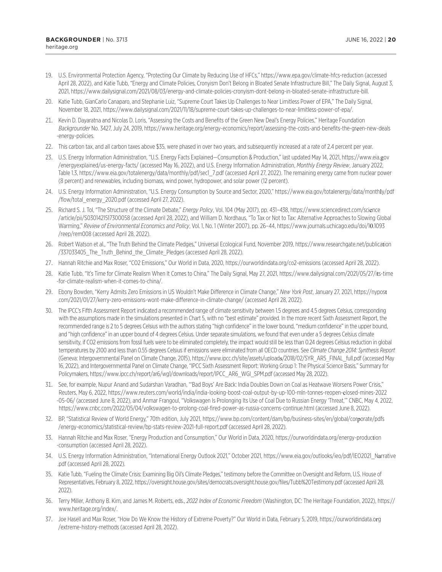- <span id="page-19-0"></span>[19.](#page-3-0) U.S. Environmental Protection Agency, "Protecting Our Climate by Reducing Use of HFCs," <https://www.epa.gov/climate-hfcs-reduction>(accessed April 28, 2022), and Katie Tubb, "Energy and Climate Policies, Cronyism Don't Belong in Bloated Senate Infrastructure Bill," The Daily Signal, August 3, 2021, [https://www.dailysignal.com/2021/08/03/energy-and-climate-policies-cronyism-dont-belong-in-bloated-senate-infrastructure-bill.](https://www.dailysignal.com/2021/08/03/energy-and-climate-policies-cronyism-dont-belong-in-bloated-senate-infrastructure-bill)
- [20](#page-3-0). Katie Tubb, GianCarlo Canaparo, and Stephanie Luiz, "Supreme Court Takes Up Challenges to Near Limitless Power of EPA," The Daily Signal, November 18, 2021, [https://www.dailysignal.com/2021/11/18/supreme-court-takes-up-challenges-to-near-limitless-power-of-epa/.](https://www.dailysignal.com/2021/11/18/supreme-court-takes-up-challenges-to-near-limitless-power-of-epa/)
- [21](#page-4-0). Kevin D. Dayaratna and Nicolas D. Loris, "Assessing the Costs and Benefits of the Green New Deal's Energy Policies," Heritage Foundation *Backgrounder* No. 3427, July 24, 2019, [https://www.heritage.org/energy-economics/report/assessing-the-costs-and-benefits-the-gr](https://www.heritage.org/energy-economics/report/assessing-the-costs-and-benefits-the-green-new-deals-energy-policies)een-new-deals [-energy-policies](https://www.heritage.org/energy-economics/report/assessing-the-costs-and-benefits-the-green-new-deals-energy-policies).
- [22](#page-4-0). This carbon tax, and all carbon taxes above \$35, were phased in over two years, and subsequently increased at a rate of 2.4 percent per year.
- [23](#page-7-0). U.S. Energy Information Administration, "U.S. Energy Facts Explained—Consumption & Production," last updated May 14, 2021, [https://www.eia.](https://www.eia.gov/energyexplained/us-energy-facts/)gov [/energyexplained/us-energy-facts/](https://www.eia.gov/energyexplained/us-energy-facts/) (accessed May 16, 2022), and U.S. Energy Information Administration, *Monthly Energy Review*, January 2022, Table 1.3, [https://www.eia.gov/totalenergy/data/monthly/pdf/sec1\\_7.pdf](https://www.eia.gov/totalenergy/data/monthly/pdf/sec1_7.pdf) (accessed April 27, 2022). The remaining energy came from nuclear power (8 percent) and renewables, including biomass, wind power, hydropower, and solar power (12 percent).
- [24](#page-7-0). U.S. Energy Information Administration, "U.S. Energy Consumption by Source and Sector, 2020," [https://www.eia.gov/totalenergy/data/month](https://www.eia.gov/totalenergy/data/monthly/pdf/flow/total_energy_2020.pdf)ly/pdf [/flow/total\\_energy\\_2020.pdf](https://www.eia.gov/totalenergy/data/monthly/pdf/flow/total_energy_2020.pdf) (accessed April 27, 2022).
- [25](#page-7-0). Richard S. J. Tol, "The Structure of the Climate Debate," *Energy Policy*, Vol. 104 (May 2017), pp. 431–438, [https://www.sciencedirect.com/sci](https://www.sciencedirect.com/science/article/pii/S0301421517300058)ence [/article/pii/S0301421517300058](https://www.sciencedirect.com/science/article/pii/S0301421517300058) (accessed April 28, 2022), and William D. Nordhaus, "To Tax or Not to Tax: Alternative Approaches to Slowing Global Warming," *Review of Environmental Economics and Policy*, Vol. 1, No. 1 (Winter 2007), pp. 26–44, [https://www.journals.uchicago.edu/doi/1](https://www.journals.uchicago.edu/doi/10.1093/reep/rem008)0.1093 [/reep/rem008](https://www.journals.uchicago.edu/doi/10.1093/reep/rem008) (accessed April 28, 2022).
- [26](#page-8-0). Robert Watson et al., "The Truth Behind the Climate Pledges," Universal Ecological Fund, November 2019, [https://www.researchgate.net/publica](https://www.researchgate.net/publication/337033405_The_Truth_Behind_the_Climate_Pledges)tion [/337033405\\_The\\_Truth\\_Behind\\_the\\_Climate\\_Pledges](https://www.researchgate.net/publication/337033405_The_Truth_Behind_the_Climate_Pledges) (accessed April 28, 2022).
- [27](#page-9-0). Hannah Ritchie and Max Roser, "CO2 Emissions," Our World in Data, 2020, <https://ourworldindata.org/co2-emissions> (accessed April 28, 2022).
- [28](#page-9-0). Katie Tubb, "It's Time for Climate Realism When It Comes to China," The Daily Signal, May 27, 2021, [https://www.dailysignal.com/2021/05/27/i](https://www.dailysignal.com/2021/05/27/its-time-for-climate-realism-when-it-comes-to-china/)ts-time [-for-climate-realism-when-it-comes-to-china/.](https://www.dailysignal.com/2021/05/27/its-time-for-climate-realism-when-it-comes-to-china/)
- [29](#page-9-0). Ebony Bowden, "Kerry Admits Zero Emissions in US Wouldn't Make Difference in Climate Change," *New York Post*, January 27, 2021, [https://nypos](https://nypost.com/2021/01/27/kerry-zero-emissions-wont-make-difference-in-climate-change/)t [.com/2021/01/27/kerry-zero-emissions-wont-make-difference-in-climate-change/](https://nypost.com/2021/01/27/kerry-zero-emissions-wont-make-difference-in-climate-change/) (accessed April 28, 2022).
- [30.](#page-12-0) The IPCC's Fifth Assessment Report indicated a recommended range of climate sensitivity between 1.5 degrees and 4.5 degrees Celsius, corresponding with the assumptions made in the simulations presented in Chart 5, with no "best estimate" provided. In the more recent Sixth Assessment Report, the recommended range is 2 to 5 degrees Celsius with the authors stating "high confidence" in the lower bound, "medium confidence" in the upper bound, and "high confidence" in an upper bound of 4 degrees Celsius. Under separate simulations, we found that even under a 5 degrees Celsius climate sensitivity, if CO2 emissions from fossil fuels were to be eliminated completely, the impact would still be less than 0.24 degrees Celsius reduction in global temperatures by 2100 and less than 0.55 degrees Celsius if emissions were eliminated from all OECD countries. See *Climate Change 2014: Synthesis Report* (Geneva: Intergovernmental Panel on Climate Change, 2015), [https://www.ipcc.ch/site/assets/upload](https://www.ipcc.ch/site/assets/uploads/2018/02/SYR_AR5_FINAL_full.pdf)s/2018/02/SYR\_AR5\_FINAL\_full.pdf (accessed May 16, 2022), and Intergovernmental Panel on Climate Change, "IPCC Sixth Assessment Report: Working Group 1: The Physical Science Basis," Summary for Policymakers, [https://www.ipcc.ch/report/ar6/wg1/downloads/report/IPCC\\_AR6\\_WGI\\_SPM.pdf](https://www.ipcc.ch/report/ar6/wg1/downloads/report/IPCC_AR6_WGI_SPM.pdf) (accessed May 28, 2022).
- [31.](#page-12-0) See, for example, Nupur Anand and Sudarshan Varadhan, "'Bad Boys' Are Back: India Doubles Down on Coal as Heatwave Worsens Power Crisis," Reuters, May 6, 2022, [https://www.reuters.com/world/india/india-looking-boost-coal-output-by-up-100-mln-tonnes-reopen-](https://www.reuters.com/world/india/india-looking-boost-coal-output-by-up-100-mln-tonnes-reopen-closed-mines-2022-05-06/)closed-mines-2022 [-05-06/](https://www.reuters.com/world/india/india-looking-boost-coal-output-by-up-100-mln-tonnes-reopen-closed-mines-2022-05-06/) (accessed June 8, 2022), and Anmar Frangoul, "Volkswagen Is Prolonging Its Use of Coal Due to Russian Energy 'Threat,'" CNBC, May 4, 2022, <https://www.cnbc.com/2022/05/04/volkswagen-to-prolong-coal-fired-power-as-russia-concerns-continue.html> (accessed June 8, 2022).
- [32.](#page-12-0) BP, "Statistical Review of World Energy," 70th edition, July 2021, [https://www.bp.com/content/dam/bp/business-sites/en/global/cor](https://www.bp.com/content/dam/bp/business-sites/en/global/corporate/pdfs/energy-economics/statistical-review/bp-stats-review-2021-full-report.pdf)porate/pdfs [/energy-economics/statistical-review/bp-stats-review-2021-full-report.pdf](https://www.bp.com/content/dam/bp/business-sites/en/global/corporate/pdfs/energy-economics/statistical-review/bp-stats-review-2021-full-report.pdf) (accessed April 28, 2022).
- [33.](#page-12-0) Hannah Ritchie and Max Roser, "Energy Production and Consumption," Our World in Data, 2020, [https://ourworldindata.org/energy-produc](https://ourworldindata.org/energy-production-consumption)tion [-consumption](https://ourworldindata.org/energy-production-consumption) (accessed April 28, 2022).
- [34.](#page-12-0) U.S. Energy Information Administration, "International Energy Outlook 2021," October 2021, [https://www.eia.gov/outlooks/ieo/pdf/IEO2021\\_N](https://www.eia.gov/outlooks/ieo/pdf/IEO2021_Narrative.pdf)arrative [.pdf](https://www.eia.gov/outlooks/ieo/pdf/IEO2021_Narrative.pdf) (accessed April 28, 2022).
- [35.](#page-12-0) Katie Tubb, "Fueling the Climate Crisis: Examining Big Oil's Climate Pledges," testimony before the Committee on Oversight and Reform, U.S. House of Representatives, February 8, 2022, <https://oversight.house.gov/sites/democrats.oversight.house.gov/files/Tubb%20Testimony.pdf> (accessed April 28, 2022).
- [36.](#page-13-0) Terry Miller, Anthony B. Kim, and James M. Roberts, eds., *2022 Index of Economic Freedom* (Washington, DC: The Heritage Foundation, 2022), [https://](https://www.heritage.org/index/) [www.heritage.org/index/](https://www.heritage.org/index/).
- [37.](#page-13-0) Joe Hasell and Max Roser, "How Do We Know the History of Extreme Poverty?" Our World in Data, February 5, 2019, [https://ourworldindata.o](https://ourworldindata.org/extreme-history-methods)rg [/extreme-history-methods](https://ourworldindata.org/extreme-history-methods) (accessed April 28, 2022).